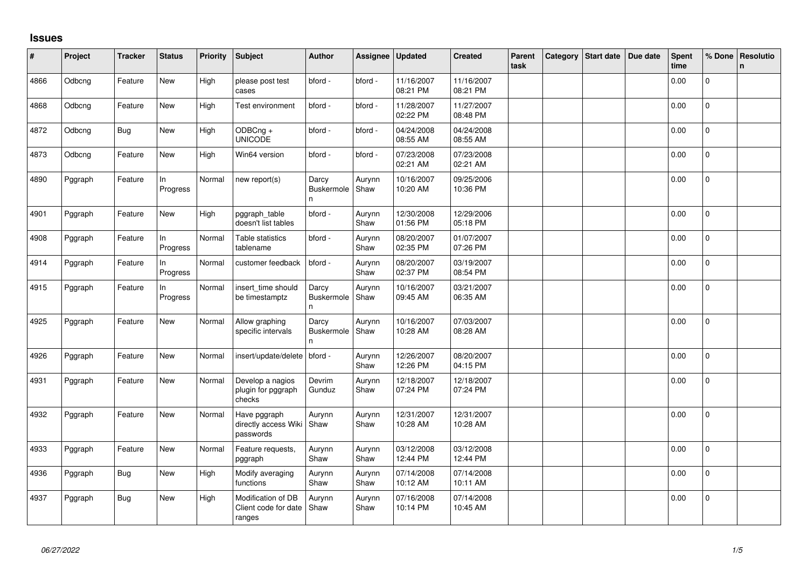## **Issues**

| #    | Project | <b>Tracker</b> | <b>Status</b>   | <b>Priority</b> | <b>Subject</b>                                       | <b>Author</b>                    | Assignee       | Updated                | <b>Created</b>         | Parent<br>task | Category Start date | Due date | <b>Spent</b><br>time | % Done         | Resolutio<br>$\mathsf{n}$ |
|------|---------|----------------|-----------------|-----------------|------------------------------------------------------|----------------------------------|----------------|------------------------|------------------------|----------------|---------------------|----------|----------------------|----------------|---------------------------|
| 4866 | Odbcng  | Feature        | New             | High            | please post test<br>cases                            | bford -                          | bford -        | 11/16/2007<br>08:21 PM | 11/16/2007<br>08:21 PM |                |                     |          | 0.00                 | $\overline{0}$ |                           |
| 4868 | Odbcng  | Feature        | New             | High            | Test environment                                     | bford -                          | bford -        | 11/28/2007<br>02:22 PM | 11/27/2007<br>08:48 PM |                |                     |          | 0.00                 | $\mathbf{0}$   |                           |
| 4872 | Odbcng  | <b>Bug</b>     | New             | High            | ODBCng +<br><b>UNICODE</b>                           | bford -                          | bford -        | 04/24/2008<br>08:55 AM | 04/24/2008<br>08:55 AM |                |                     |          | 0.00                 | $\mathbf 0$    |                           |
| 4873 | Odbcng  | Feature        | New             | High            | Win64 version                                        | bford -                          | bford -        | 07/23/2008<br>02:21 AM | 07/23/2008<br>02:21 AM |                |                     |          | 0.00                 | $\mathbf 0$    |                           |
| 4890 | Pggraph | Feature        | In<br>Progress  | Normal          | new report(s)                                        | Darcy<br><b>Buskermole</b><br>n  | Aurynn<br>Shaw | 10/16/2007<br>10:20 AM | 09/25/2006<br>10:36 PM |                |                     |          | 0.00                 | 0              |                           |
| 4901 | Pggraph | Feature        | New             | High            | pggraph_table<br>doesn't list tables                 | bford -                          | Aurynn<br>Shaw | 12/30/2008<br>01:56 PM | 12/29/2006<br>05:18 PM |                |                     |          | 0.00                 | $\Omega$       |                           |
| 4908 | Pggraph | Feature        | In<br>Progress  | Normal          | Table statistics<br>tablename                        | bford -                          | Aurynn<br>Shaw | 08/20/2007<br>02:35 PM | 01/07/2007<br>07:26 PM |                |                     |          | 0.00                 | $\mathbf 0$    |                           |
| 4914 | Pggraph | Feature        | In.<br>Progress | Normal          | customer feedback                                    | bford -                          | Aurynn<br>Shaw | 08/20/2007<br>02:37 PM | 03/19/2007<br>08:54 PM |                |                     |          | 0.00                 | $\mathbf 0$    |                           |
| 4915 | Pggraph | Feature        | In<br>Progress  | Normal          | insert_time should<br>be timestamptz                 | Darcy<br><b>Buskermole</b><br>n. | Aurynn<br>Shaw | 10/16/2007<br>09:45 AM | 03/21/2007<br>06:35 AM |                |                     |          | 0.00                 | $\mathbf 0$    |                           |
| 4925 | Pggraph | Feature        | New             | Normal          | Allow graphing<br>specific intervals                 | Darcy<br>Buskermole<br>n         | Aurynn<br>Shaw | 10/16/2007<br>10:28 AM | 07/03/2007<br>08:28 AM |                |                     |          | 0.00                 | $\overline{0}$ |                           |
| 4926 | Pggraph | Feature        | New             | Normal          | insert/update/delete                                 | bford -                          | Aurynn<br>Shaw | 12/26/2007<br>12:26 PM | 08/20/2007<br>04:15 PM |                |                     |          | 0.00                 | 0              |                           |
| 4931 | Pggraph | Feature        | New             | Normal          | Develop a nagios<br>plugin for pggraph<br>checks     | Devrim<br>Gunduz                 | Aurynn<br>Shaw | 12/18/2007<br>07:24 PM | 12/18/2007<br>07:24 PM |                |                     |          | 0.00                 | 0              |                           |
| 4932 | Pggraph | Feature        | New             | Normal          | Have pggraph<br>directly access Wiki<br>passwords    | Aurynn<br>Shaw                   | Aurynn<br>Shaw | 12/31/2007<br>10:28 AM | 12/31/2007<br>10:28 AM |                |                     |          | 0.00                 | $\pmb{0}$      |                           |
| 4933 | Pggraph | Feature        | <b>New</b>      | Normal          | Feature requests,<br>pggraph                         | Aurynn<br>Shaw                   | Aurynn<br>Shaw | 03/12/2008<br>12:44 PM | 03/12/2008<br>12:44 PM |                |                     |          | 0.00                 | $\Omega$       |                           |
| 4936 | Pggraph | Bug            | New             | High            | Modify averaging<br>functions                        | Aurynn<br>Shaw                   | Aurynn<br>Shaw | 07/14/2008<br>10:12 AM | 07/14/2008<br>10:11 AM |                |                     |          | 0.00                 | $\Omega$       |                           |
| 4937 | Pggraph | <b>Bug</b>     | New             | High            | Modification of DB<br>Client code for date<br>ranges | Aurynn<br>Shaw                   | Aurynn<br>Shaw | 07/16/2008<br>10:14 PM | 07/14/2008<br>10:45 AM |                |                     |          | 0.00                 | $\overline{0}$ |                           |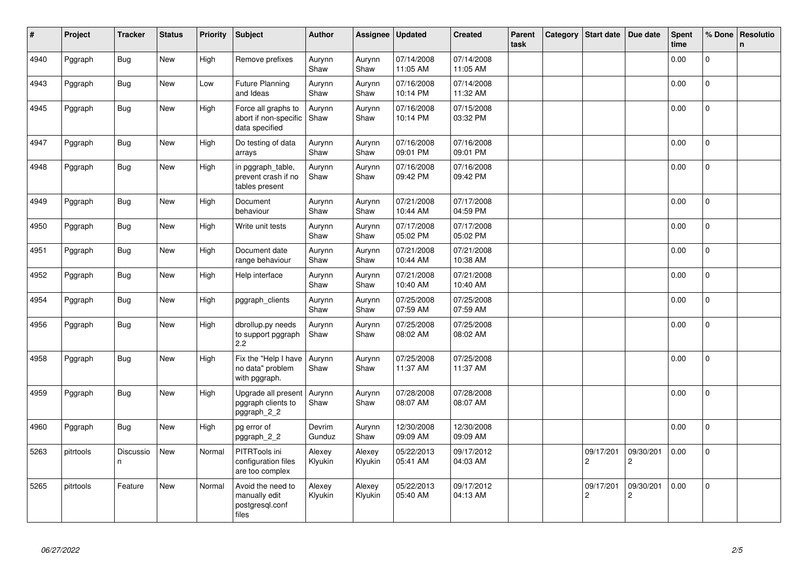| $\vert$ # | Project   | <b>Tracker</b> | <b>Status</b> | <b>Priority</b> | <b>Subject</b>                                                 | <b>Author</b>     | Assignee          | <b>Updated</b>         | <b>Created</b>         | <b>Parent</b><br>task | Category | Start date                  | Due date                    | <b>Spent</b><br>time | % Done         | Resolutio<br>$\mathsf{n}$ |
|-----------|-----------|----------------|---------------|-----------------|----------------------------------------------------------------|-------------------|-------------------|------------------------|------------------------|-----------------------|----------|-----------------------------|-----------------------------|----------------------|----------------|---------------------------|
| 4940      | Pggraph   | <b>Bug</b>     | <b>New</b>    | High            | Remove prefixes                                                | Aurynn<br>Shaw    | Aurynn<br>Shaw    | 07/14/2008<br>11:05 AM | 07/14/2008<br>11:05 AM |                       |          |                             |                             | 0.00                 | $\Omega$       |                           |
| 4943      | Pggraph   | Bug            | <b>New</b>    | Low             | Future Planning<br>and Ideas                                   | Aurynn<br>Shaw    | Aurynn<br>Shaw    | 07/16/2008<br>10:14 PM | 07/14/2008<br>11:32 AM |                       |          |                             |                             | 0.00                 | $\mathbf 0$    |                           |
| 4945      | Pggraph   | <b>Bug</b>     | <b>New</b>    | High            | Force all graphs to<br>abort if non-specific<br>data specified | Aurynn<br>Shaw    | Aurynn<br>Shaw    | 07/16/2008<br>10:14 PM | 07/15/2008<br>03:32 PM |                       |          |                             |                             | 0.00                 | 0              |                           |
| 4947      | Pggraph   | Bug            | New           | High            | Do testing of data<br>arrays                                   | Aurynn<br>Shaw    | Aurynn<br>Shaw    | 07/16/2008<br>09:01 PM | 07/16/2008<br>09:01 PM |                       |          |                             |                             | 0.00                 | $\mathbf 0$    |                           |
| 4948      | Pggraph   | Bug            | New           | High            | in pggraph table,<br>prevent crash if no<br>tables present     | Aurynn<br>Shaw    | Aurynn<br>Shaw    | 07/16/2008<br>09:42 PM | 07/16/2008<br>09:42 PM |                       |          |                             |                             | 0.00                 | 0              |                           |
| 4949      | Pggraph   | <b>Bug</b>     | New           | High            | Document<br>behaviour                                          | Aurynn<br>Shaw    | Aurynn<br>Shaw    | 07/21/2008<br>10:44 AM | 07/17/2008<br>04:59 PM |                       |          |                             |                             | 0.00                 | $\Omega$       |                           |
| 4950      | Pggraph   | <b>Bug</b>     | <b>New</b>    | High            | Write unit tests                                               | Aurynn<br>Shaw    | Aurynn<br>Shaw    | 07/17/2008<br>05:02 PM | 07/17/2008<br>05:02 PM |                       |          |                             |                             | 0.00                 | 0              |                           |
| 4951      | Pggraph   | Bug            | New           | High            | Document date<br>range behaviour                               | Aurynn<br>Shaw    | Aurynn<br>Shaw    | 07/21/2008<br>10:44 AM | 07/21/2008<br>10:38 AM |                       |          |                             |                             | 0.00                 | $\mathbf{0}$   |                           |
| 4952      | Pggraph   | Bug            | New           | High            | Help interface                                                 | Aurynn<br>Shaw    | Aurynn<br>Shaw    | 07/21/2008<br>10:40 AM | 07/21/2008<br>10:40 AM |                       |          |                             |                             | 0.00                 | $\overline{0}$ |                           |
| 4954      | Pggraph   | Bug            | New           | High            | pggraph clients                                                | Aurynn<br>Shaw    | Aurynn<br>Shaw    | 07/25/2008<br>07:59 AM | 07/25/2008<br>07:59 AM |                       |          |                             |                             | 0.00                 | 0              |                           |
| 4956      | Pggraph   | Bug            | New           | High            | dbrollup.py needs<br>to support pggraph<br>2.2                 | Aurynn<br>Shaw    | Aurynn<br>Shaw    | 07/25/2008<br>08:02 AM | 07/25/2008<br>08:02 AM |                       |          |                             |                             | 0.00                 | $\Omega$       |                           |
| 4958      | Pggraph   | Bug            | <b>New</b>    | High            | Fix the "Help I have<br>no data" problem<br>with pggraph.      | Aurynn<br>Shaw    | Aurynn<br>Shaw    | 07/25/2008<br>11:37 AM | 07/25/2008<br>11:37 AM |                       |          |                             |                             | 0.00                 | 0              |                           |
| 4959      | Pggraph   | Bug            | <b>New</b>    | High            | Upgrade all present<br>pggraph clients to<br>pggraph_2_2       | Aurynn<br>Shaw    | Aurynn<br>Shaw    | 07/28/2008<br>08:07 AM | 07/28/2008<br>08:07 AM |                       |          |                             |                             | 0.00                 | $\Omega$       |                           |
| 4960      | Pggraph   | <b>Bug</b>     | <b>New</b>    | High            | pg error of<br>pggraph_2_2                                     | Devrim<br>Gunduz  | Aurynn<br>Shaw    | 12/30/2008<br>09:09 AM | 12/30/2008<br>09:09 AM |                       |          |                             |                             | 0.00                 | $\mathbf 0$    |                           |
| 5263      | pitrtools | Discussio<br>n | <b>New</b>    | Normal          | PITRTools ini<br>configuration files<br>are too complex        | Alexey<br>Klyukin | Alexey<br>Klyukin | 05/22/2013<br>05:41 AM | 09/17/2012<br>04:03 AM |                       |          | 09/17/201<br>$\overline{c}$ | 09/30/201<br>$\overline{c}$ | 0.00                 | $\Omega$       |                           |
| 5265      | pitrtools | Feature        | New           | Normal          | Avoid the need to<br>manually edit<br>postgresql.conf<br>files | Alexey<br>Klyukin | Alexey<br>Klyukin | 05/22/2013<br>05:40 AM | 09/17/2012<br>04:13 AM |                       |          | 09/17/201<br>$\overline{c}$ | 09/30/201<br>2              | 0.00                 | 0              |                           |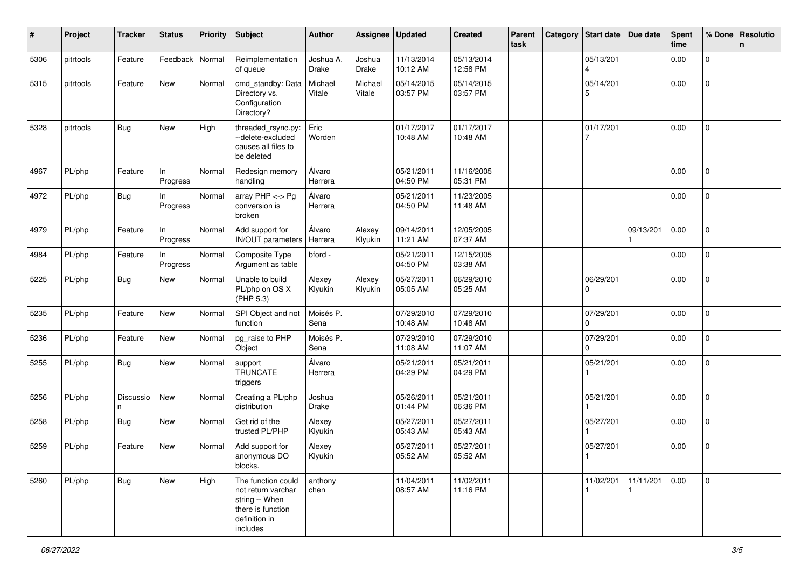| #    | Project   | <b>Tracker</b> | <b>Status</b>     | <b>Priority</b> | <b>Subject</b>                                                                                               | <b>Author</b>      | Assignee          | <b>Updated</b>         | <b>Created</b>         | Parent<br>task | Category   Start date   Due date     |                        | <b>Spent</b><br>time | % Done         | <b>Resolutio</b><br>$\mathsf{n}$ |
|------|-----------|----------------|-------------------|-----------------|--------------------------------------------------------------------------------------------------------------|--------------------|-------------------|------------------------|------------------------|----------------|--------------------------------------|------------------------|----------------------|----------------|----------------------------------|
| 5306 | pitrtools | Feature        | Feedback   Normal |                 | Reimplementation<br>of queue                                                                                 | Joshua A.<br>Drake | Joshua<br>Drake   | 11/13/2014<br>10:12 AM | 05/13/2014<br>12:58 PM |                | 05/13/201<br>$\overline{\mathbf{A}}$ |                        | 0.00                 | $\overline{0}$ |                                  |
| 5315 | pitrtools | Feature        | New               | Normal          | cmd_standby: Data<br>Directory vs.<br>Configuration<br>Directory?                                            | Michael<br>Vitale  | Michael<br>Vitale | 05/14/2015<br>03:57 PM | 05/14/2015<br>03:57 PM |                | 05/14/201<br>5                       |                        | 0.00                 | $\overline{0}$ |                                  |
| 5328 | pitrtools | Bug            | New               | High            | threaded_rsync.py:<br>--delete-excluded<br>causes all files to<br>be deleted                                 | Eric<br>Worden     |                   | 01/17/2017<br>10:48 AM | 01/17/2017<br>10:48 AM |                | 01/17/201                            |                        | 0.00                 | $\mathbf 0$    |                                  |
| 4967 | PL/php    | Feature        | In<br>Progress    | Normal          | Redesign memory<br>handling                                                                                  | Álvaro<br>Herrera  |                   | 05/21/2011<br>04:50 PM | 11/16/2005<br>05:31 PM |                |                                      |                        | 0.00                 | $\overline{0}$ |                                  |
| 4972 | PL/php    | Bug            | In<br>Progress    | Normal          | array $PHP \lt\gt Pg$<br>conversion is<br>broken                                                             | Álvaro<br>Herrera  |                   | 05/21/2011<br>04:50 PM | 11/23/2005<br>11:48 AM |                |                                      |                        | 0.00                 | $\mathbf 0$    |                                  |
| 4979 | PL/php    | Feature        | In<br>Progress    | Normal          | Add support for<br>IN/OUT parameters                                                                         | Álvaro<br>Herrera  | Alexey<br>Klyukin | 09/14/2011<br>11:21 AM | 12/05/2005<br>07:37 AM |                |                                      | 09/13/201              | 0.00                 | $\mathbf{0}$   |                                  |
| 4984 | PL/php    | Feature        | In<br>Progress    | Normal          | Composite Type<br>Argument as table                                                                          | bford -            |                   | 05/21/2011<br>04:50 PM | 12/15/2005<br>03:38 AM |                |                                      |                        | 0.00                 | 0              |                                  |
| 5225 | PL/php    | <b>Bug</b>     | New               | Normal          | Unable to build<br>PL/php on OS X<br>(PHP 5.3)                                                               | Alexey<br>Klyukin  | Alexey<br>Klyukin | 05/27/2011<br>05:05 AM | 06/29/2010<br>05:25 AM |                | 06/29/201<br>0                       |                        | 0.00                 | 0              |                                  |
| 5235 | PL/php    | Feature        | New               | Normal          | SPI Object and not<br>function                                                                               | Moisés P.<br>Sena  |                   | 07/29/2010<br>10:48 AM | 07/29/2010<br>10:48 AM |                | 07/29/201<br>$\Omega$                |                        | 0.00                 | $\mathbf{0}$   |                                  |
| 5236 | PL/php    | Feature        | New               | Normal          | pg_raise to PHP<br>Object                                                                                    | Moisés P.<br>Sena  |                   | 07/29/2010<br>11:08 AM | 07/29/2010<br>11:07 AM |                | 07/29/201<br>0                       |                        | 0.00                 | 0              |                                  |
| 5255 | PL/php    | <b>Bug</b>     | New               | Normal          | support<br><b>TRUNCATE</b><br>triggers                                                                       | Álvaro<br>Herrera  |                   | 05/21/2011<br>04:29 PM | 05/21/2011<br>04:29 PM |                | 05/21/201                            |                        | 0.00                 | $\overline{0}$ |                                  |
| 5256 | PL/php    | Discussio<br>n | New               | Normal          | Creating a PL/php<br>distribution                                                                            | Joshua<br>Drake    |                   | 05/26/2011<br>01:44 PM | 05/21/2011<br>06:36 PM |                | 05/21/201                            |                        | 0.00                 | 0              |                                  |
| 5258 | PL/php    | Bug            | New               | Normal          | Get rid of the<br>trusted PL/PHP                                                                             | Alexey<br>Klyukin  |                   | 05/27/2011<br>05:43 AM | 05/27/2011<br>05:43 AM |                | 05/27/201                            |                        | 0.00                 | $\overline{0}$ |                                  |
| 5259 | PL/php    | Feature        | New               | Normal          | Add support for<br>anonymous DO<br>blocks.                                                                   | Alexey<br>Klyukin  |                   | 05/27/2011<br>05:52 AM | 05/27/2011<br>05:52 AM |                | 05/27/201                            |                        | 0.00                 | 0              |                                  |
| 5260 | PL/php    | <b>Bug</b>     | New               | High            | The function could<br>not return varchar<br>string -- When<br>there is function<br>definition in<br>includes | anthony<br>chen    |                   | 11/04/2011<br>08:57 AM | 11/02/2011<br>11:16 PM |                | 11/02/201                            | 11/11/201<br>$\vert$ 1 | 0.00                 | $\mathbf{0}$   |                                  |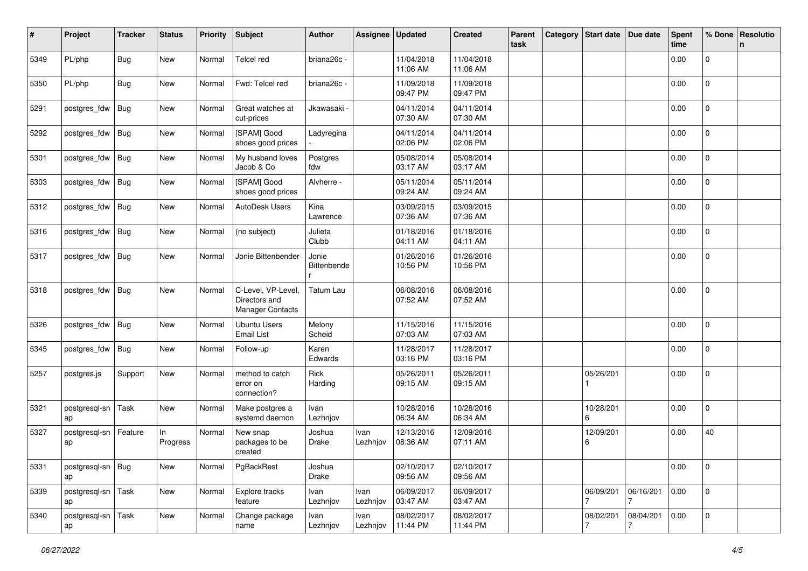| #    | Project             | <b>Tracker</b> | <b>Status</b>   | <b>Priority</b> | <b>Subject</b>                                                 | <b>Author</b>        | Assignee         | <b>Updated</b>         | <b>Created</b>         | Parent<br>task | Category | <b>Start date</b> | Due date  | <b>Spent</b><br>time | % Done              | Resolutio<br>n |
|------|---------------------|----------------|-----------------|-----------------|----------------------------------------------------------------|----------------------|------------------|------------------------|------------------------|----------------|----------|-------------------|-----------|----------------------|---------------------|----------------|
| 5349 | PL/php              | <b>Bug</b>     | New             | Normal          | Telcel red                                                     | briana26c -          |                  | 11/04/2018<br>11:06 AM | 11/04/2018<br>11:06 AM |                |          |                   |           | 0.00                 | $\mathbf 0$         |                |
| 5350 | PL/php              | <b>Bug</b>     | New             | Normal          | Fwd: Telcel red                                                | briana26c -          |                  | 11/09/2018<br>09:47 PM | 11/09/2018<br>09:47 PM |                |          |                   |           | 0.00                 | $\mathbf 0$         |                |
| 5291 | postgres_fdw        | <b>Bug</b>     | New             | Normal          | Great watches at<br>cut-prices                                 | Jkawasaki ·          |                  | 04/11/2014<br>07:30 AM | 04/11/2014<br>07:30 AM |                |          |                   |           | 0.00                 | $\mathbf 0$         |                |
| 5292 | postgres_fdw        | <b>Bug</b>     | New             | Normal          | [SPAM] Good<br>shoes good prices                               | Ladyregina           |                  | 04/11/2014<br>02:06 PM | 04/11/2014<br>02:06 PM |                |          |                   |           | 0.00                 | $\mathbf 0$         |                |
| 5301 | postgres_fdw        | Bug            | <b>New</b>      | Normal          | My husband loves<br>Jacob & Co                                 | Postgres<br>fdw      |                  | 05/08/2014<br>03:17 AM | 05/08/2014<br>03:17 AM |                |          |                   |           | 0.00                 | $\mathbf 0$         |                |
| 5303 | postgres_fdw        | Bug            | New             | Normal          | [SPAM] Good<br>shoes good prices                               | Alvherre -           |                  | 05/11/2014<br>09:24 AM | 05/11/2014<br>09:24 AM |                |          |                   |           | 0.00                 | $\mathbf 0$         |                |
| 5312 | postgres_fdw        | <b>Bug</b>     | New             | Normal          | <b>AutoDesk Users</b>                                          | Kina<br>Lawrence     |                  | 03/09/2015<br>07:36 AM | 03/09/2015<br>07:36 AM |                |          |                   |           | 0.00                 | 0                   |                |
| 5316 | postgres_fdw        | <b>Bug</b>     | New             | Normal          | (no subject)                                                   | Julieta<br>Clubb     |                  | 01/18/2016<br>04:11 AM | 01/18/2016<br>04:11 AM |                |          |                   |           | 0.00                 | $\mathbf 0$         |                |
| 5317 | postgres_fdw        | <b>Bug</b>     | New             | Normal          | Jonie Bittenbender                                             | Jonie<br>Bittenbende |                  | 01/26/2016<br>10:56 PM | 01/26/2016<br>10:56 PM |                |          |                   |           | 0.00                 | $\mathbf 0$         |                |
| 5318 | postgres_fdw        | <b>Bug</b>     | New             | Normal          | C-Level, VP-Level,<br>Directors and<br><b>Manager Contacts</b> | <b>Tatum Lau</b>     |                  | 06/08/2016<br>07:52 AM | 06/08/2016<br>07:52 AM |                |          |                   |           | 0.00                 | $\mathbf 0$         |                |
| 5326 | postgres_fdw        | <b>Bug</b>     | New             | Normal          | <b>Ubuntu Users</b><br><b>Email List</b>                       | Melony<br>Scheid     |                  | 11/15/2016<br>07:03 AM | 11/15/2016<br>07:03 AM |                |          |                   |           | 0.00                 | $\mathsf{O}\xspace$ |                |
| 5345 | postgres_fdw        | <b>Bug</b>     | New             | Normal          | Follow-up                                                      | Karen<br>Edwards     |                  | 11/28/2017<br>03:16 PM | 11/28/2017<br>03:16 PM |                |          |                   |           | 0.00                 | $\mathbf 0$         |                |
| 5257 | postgres.js         | Support        | New             | Normal          | method to catch<br>error on<br>connection?                     | Rick<br>Harding      |                  | 05/26/2011<br>09:15 AM | 05/26/2011<br>09:15 AM |                |          | 05/26/201         |           | 0.00                 | 0                   |                |
| 5321 | postgresql-sn<br>ap | Task           | New             | Normal          | Make postgres a<br>systemd daemon                              | Ivan<br>Lezhnjov     |                  | 10/28/2016<br>06:34 AM | 10/28/2016<br>06:34 AM |                |          | 10/28/201<br>6    |           | 0.00                 | 0                   |                |
| 5327 | postgresql-sn<br>ap | Feature        | In.<br>Progress | Normal          | New snap<br>packages to be<br>created                          | Joshua<br>Drake      | Ivan<br>Lezhnjov | 12/13/2016<br>08:36 AM | 12/09/2016<br>07:11 AM |                |          | 12/09/201<br>6    |           | 0.00                 | 40                  |                |
| 5331 | postgresql-sn<br>ap | Bug            | New             | Normal          | PgBackRest                                                     | Joshua<br>Drake      |                  | 02/10/2017<br>09:56 AM | 02/10/2017<br>09:56 AM |                |          |                   |           | 0.00                 | $\overline{0}$      |                |
| 5339 | postgresql-sn<br>ap | Task           | <b>New</b>      | Normal          | Explore tracks<br>feature                                      | Ivan<br>Lezhnjov     | Ivan<br>Lezhnjov | 06/09/2017<br>03:47 AM | 06/09/2017<br>03:47 AM |                |          | 06/09/201         | 06/16/201 | 0.00                 | $\overline{0}$      |                |
| 5340 | postgresql-sn<br>ap | Task           | New             | Normal          | Change package<br>name                                         | Ivan<br>Lezhnjov     | Ivan<br>Lezhnjov | 08/02/2017<br>11:44 PM | 08/02/2017<br>11:44 PM |                |          | 08/02/201         | 08/04/201 | 0.00                 | $\overline{0}$      |                |